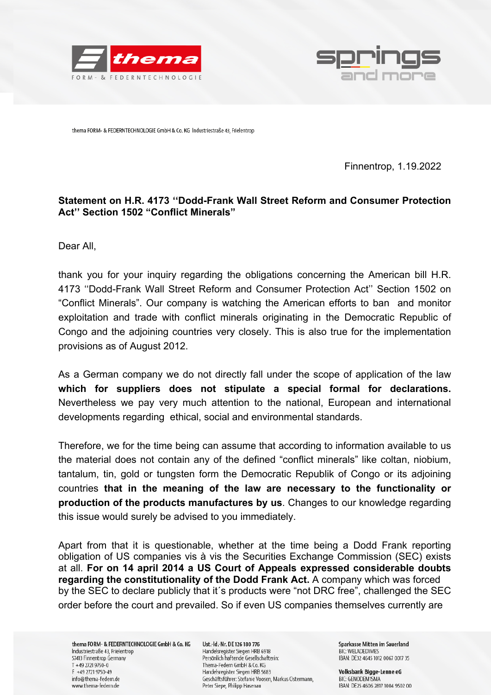



thema FORM- & FEDERNTECHNOLOGIE GmbH & Co. KG Industriestraße 43, Frielentrop

Finnentrop, 1.19.2022

## **Statement on H.R. 4173 ''Dodd-Frank Wall Street Reform and Consumer Protection Act'' Section 1502 "Conflict Minerals"**

Dear All,

thank you for your inquiry regarding the obligations concerning the American bill H.R. 4173 ''Dodd-Frank Wall Street Reform and Consumer Protection Act'' Section 1502 on "Conflict Minerals". Our company is watching the American efforts to ban and monitor exploitation and trade with conflict minerals originating in the Democratic Republic of Congo and the adjoining countries very closely. This is also true for the implementation provisions as of August 2012.

As a German company we do not directly fall under the scope of application of the law **which for suppliers does not stipulate a special formal for declarations.**  Nevertheless we pay very much attention to the national, European and international developments regarding ethical, social and environmental standards.

Therefore, we for the time being can assume that according to information available to us the material does not contain any of the defined "conflict minerals" like coltan, niobium, tantalum, tin, gold or tungsten form the Democratic Republik of Congo or its adjoining countries **that in the meaning of the law are necessary to the functionality or production of the products manufactures by us**. Changes to our knowledge regarding this issue would surely be advised to you immediately.

Apart from that it is questionable, whether at the time being a Dodd Frank reporting obligation of US companies vis à vis the Securities Exchange Commission (SEC) exists at all. **For on 14 april 2014 a US Court of Appeals expressed considerable doubts regarding the constitutionality of the Dodd Frank Act.** A company which was forced by the SEC to declare publicly that it´s products were "not DRC free", challenged the SEC order before the court and prevailed. So if even US companies themselves currently are

thema FORM- & FEDERNTECHNOLOGIE GmbH & Co. KG Industriestraße 43, Frielentrop 57413 Finnentrop Germany  $T + 49$  2721 9750-0 F +49 2721 9750-49 info@thema-federn.de www.thema-federn.de

Ust.-Id.-Nr. DE 126 180 776 Handelsregister Siegen HRB 6918 Persönlich haftende Gesellschafterin: Thema-Federn GmbH & Co. KG Handelsregister Siegen HRB 5683 Geschäftsführer: Stefanie Voosen, Markus Ostermann, Peter Siepe, Philipp Hasenau

Sparkasse Mitten im Sauerland BIC: WELADED1MES IBAN: DE32 4645 1012 0067 0017 35

Volksbank Bigge-Lenne eG BIC: GENODEM1SMA IBAN: DE25 4606 2817 1004 9502 00